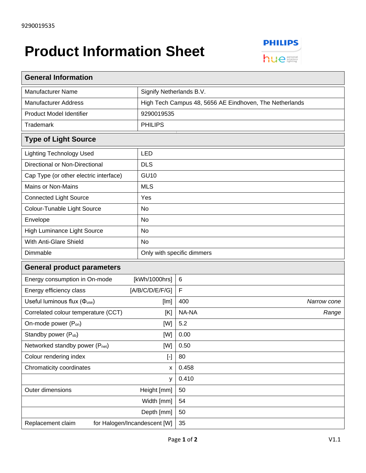## **Product Information Sheet**



| <b>General Information</b>                                                                                                                                                                                                                                                                                                                                                                                                                                                                                                                                                                                                                                                                                                                                                                                                                                                                                         |                                                         |                            |             |  |
|--------------------------------------------------------------------------------------------------------------------------------------------------------------------------------------------------------------------------------------------------------------------------------------------------------------------------------------------------------------------------------------------------------------------------------------------------------------------------------------------------------------------------------------------------------------------------------------------------------------------------------------------------------------------------------------------------------------------------------------------------------------------------------------------------------------------------------------------------------------------------------------------------------------------|---------------------------------------------------------|----------------------------|-------------|--|
| <b>Manufacturer Name</b>                                                                                                                                                                                                                                                                                                                                                                                                                                                                                                                                                                                                                                                                                                                                                                                                                                                                                           | Signify Netherlands B.V.                                |                            |             |  |
| <b>Manufacturer Address</b>                                                                                                                                                                                                                                                                                                                                                                                                                                                                                                                                                                                                                                                                                                                                                                                                                                                                                        | High Tech Campus 48, 5656 AE Eindhoven, The Netherlands |                            |             |  |
| Product Model Identifier                                                                                                                                                                                                                                                                                                                                                                                                                                                                                                                                                                                                                                                                                                                                                                                                                                                                                           | 9290019535                                              |                            |             |  |
| <b>Trademark</b>                                                                                                                                                                                                                                                                                                                                                                                                                                                                                                                                                                                                                                                                                                                                                                                                                                                                                                   | <b>PHILIPS</b>                                          |                            |             |  |
| <b>Type of Light Source</b>                                                                                                                                                                                                                                                                                                                                                                                                                                                                                                                                                                                                                                                                                                                                                                                                                                                                                        |                                                         |                            |             |  |
| <b>Lighting Technology Used</b>                                                                                                                                                                                                                                                                                                                                                                                                                                                                                                                                                                                                                                                                                                                                                                                                                                                                                    | <b>LED</b>                                              |                            |             |  |
| Directional or Non-Directional                                                                                                                                                                                                                                                                                                                                                                                                                                                                                                                                                                                                                                                                                                                                                                                                                                                                                     | <b>DLS</b>                                              |                            |             |  |
| Cap Type (or other electric interface)                                                                                                                                                                                                                                                                                                                                                                                                                                                                                                                                                                                                                                                                                                                                                                                                                                                                             | <b>GU10</b>                                             |                            |             |  |
| <b>Mains or Non-Mains</b>                                                                                                                                                                                                                                                                                                                                                                                                                                                                                                                                                                                                                                                                                                                                                                                                                                                                                          | <b>MLS</b>                                              |                            |             |  |
| <b>Connected Light Source</b>                                                                                                                                                                                                                                                                                                                                                                                                                                                                                                                                                                                                                                                                                                                                                                                                                                                                                      | Yes                                                     |                            |             |  |
| Colour-Tunable Light Source                                                                                                                                                                                                                                                                                                                                                                                                                                                                                                                                                                                                                                                                                                                                                                                                                                                                                        | <b>No</b>                                               |                            |             |  |
| Envelope                                                                                                                                                                                                                                                                                                                                                                                                                                                                                                                                                                                                                                                                                                                                                                                                                                                                                                           | No                                                      |                            |             |  |
| <b>High Luminance Light Source</b>                                                                                                                                                                                                                                                                                                                                                                                                                                                                                                                                                                                                                                                                                                                                                                                                                                                                                 | No                                                      |                            |             |  |
| With Anti-Glare Shield                                                                                                                                                                                                                                                                                                                                                                                                                                                                                                                                                                                                                                                                                                                                                                                                                                                                                             | <b>No</b>                                               |                            |             |  |
| Dimmable                                                                                                                                                                                                                                                                                                                                                                                                                                                                                                                                                                                                                                                                                                                                                                                                                                                                                                           |                                                         | Only with specific dimmers |             |  |
| <b>General product parameters</b>                                                                                                                                                                                                                                                                                                                                                                                                                                                                                                                                                                                                                                                                                                                                                                                                                                                                                  |                                                         |                            |             |  |
| Energy consumption in On-mode                                                                                                                                                                                                                                                                                                                                                                                                                                                                                                                                                                                                                                                                                                                                                                                                                                                                                      | [kWh/1000hrs]                                           | 6                          |             |  |
| [A/B/C/D/E/F/G]<br>Energy efficiency class                                                                                                                                                                                                                                                                                                                                                                                                                                                                                                                                                                                                                                                                                                                                                                                                                                                                         |                                                         | F                          |             |  |
| Useful luminous flux $(\Phi_{use})$<br>[Im]                                                                                                                                                                                                                                                                                                                                                                                                                                                                                                                                                                                                                                                                                                                                                                                                                                                                        |                                                         | 400                        | Narrow cone |  |
| Correlated colour temperature (CCT)<br>[K]                                                                                                                                                                                                                                                                                                                                                                                                                                                                                                                                                                                                                                                                                                                                                                                                                                                                         |                                                         | NA-NA                      | Range       |  |
| On-mode power (P <sub>on</sub> )<br>[W]                                                                                                                                                                                                                                                                                                                                                                                                                                                                                                                                                                                                                                                                                                                                                                                                                                                                            |                                                         | 5.2                        |             |  |
| Standby power (P <sub>sb</sub> )<br>[W]                                                                                                                                                                                                                                                                                                                                                                                                                                                                                                                                                                                                                                                                                                                                                                                                                                                                            |                                                         | 0.00                       |             |  |
| [W]<br>Networked standby power (Pnet)                                                                                                                                                                                                                                                                                                                                                                                                                                                                                                                                                                                                                                                                                                                                                                                                                                                                              |                                                         | 0.50                       |             |  |
| Colour rendering index<br>$[\cdot] % \centering \includegraphics[width=0.9\textwidth]{images/TrDiM-Architecture.png} % \caption{The first two different values of $S$ and $S$ are shown in the left, the first two different values of $S$ and $S$ are shown in the right, and the second two different values of $S$ are shown in the right, and the second two different values of $S$ are shown in the right, and the second two different values of $S$ are shown in the right, and the third two different values of $S$ are shown in the right, and the third two different values of $S$ are shown in the right, and the third two different values of $S$ are shown in the right, and the third two different values of $S$ are shown in the right, and the third two different values of $S$ are shown in the right, and the third two different values of $S$ are shown in the right, and the third two$ |                                                         | 80                         |             |  |
| Chromaticity coordinates<br>X                                                                                                                                                                                                                                                                                                                                                                                                                                                                                                                                                                                                                                                                                                                                                                                                                                                                                      |                                                         | 0.458                      |             |  |
| У                                                                                                                                                                                                                                                                                                                                                                                                                                                                                                                                                                                                                                                                                                                                                                                                                                                                                                                  |                                                         | 0.410                      |             |  |
| Outer dimensions<br>Height [mm]                                                                                                                                                                                                                                                                                                                                                                                                                                                                                                                                                                                                                                                                                                                                                                                                                                                                                    |                                                         | 50                         |             |  |
| Width [mm]                                                                                                                                                                                                                                                                                                                                                                                                                                                                                                                                                                                                                                                                                                                                                                                                                                                                                                         |                                                         | 54                         |             |  |
| Depth [mm]                                                                                                                                                                                                                                                                                                                                                                                                                                                                                                                                                                                                                                                                                                                                                                                                                                                                                                         |                                                         | 50                         |             |  |
| for Halogen/Incandescent [W]<br>Replacement claim                                                                                                                                                                                                                                                                                                                                                                                                                                                                                                                                                                                                                                                                                                                                                                                                                                                                  |                                                         | 35                         |             |  |